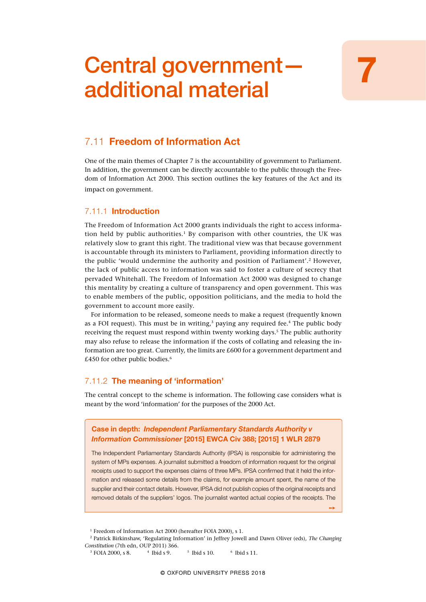# Central government— additional material 7

➙

# 7.11 Freedom of Information Act

One of the main themes of Chapter 7 is the accountability of government to Parliament. In addition, the government can be directly accountable to the public through the Freedom of Information Act 2000. This section outlines the key features of the Act and its impact on government.

# 7.11.1 Introduction

The Freedom of Information Act 2000 grants individuals the right to access information held by public authorities.<sup>1</sup> By comparison with other countries, the UK was relatively slow to grant this right. The traditional view was that because government is accountable through its ministers to Parliament, providing information directly to the public 'would undermine the authority and position of Parliament'.<sup>2</sup> However, the lack of public access to information was said to foster a culture of secrecy that pervaded Whitehall. The Freedom of Information Act 2000 was designed to change this mentality by creating a culture of transparency and open government. This was to enable members of the public, opposition politicians, and the media to hold the government to account more easily.

For information to be released, someone needs to make a request (frequently known as a FOI request). This must be in writing,<sup>3</sup> paying any required fee.<sup>4</sup> The public body receiving the request must respond within twenty working days.<sup>5</sup> The public authority may also refuse to release the information if the costs of collating and releasing the information are too great. Currently, the limits are £600 for a government department and £450 for other public bodies. $6$ 

# 7.11.2 The meaning of 'information'

The central concept to the scheme is information. The following case considers what is meant by the word 'information' for the purposes of the 2000 Act.

# Case in depth: *Independent Parliamentary Standards Authority v Information Commissioner* [2015] EWCA Civ 388; [2015] 1 WLR 2879

The Independent Parliamentary Standards Authority (IPSA) is responsible for administering the system of MPs expenses. A journalist submitted a freedom of information request for the original receipts used to support the expenses claims of three MPs. IPSA confirmed that it held the information and released some details from the claims, for example amount spent, the name of the supplier and their contact details. However, IPSA did not publish copies of the original receipts and removed details of the suppliers' logos. The journalist wanted actual copies of the receipts. The

<sup>1</sup> Freedom of Information Act 2000 (hereafter FOIA 2000), s 1.

<sup>2</sup> Patrick Birkinshaw, 'Regulating Information' in Jeffrey Jowell and Dawn Oliver (eds), *The Changing Constitution* (7th edn, OUP 2011) 366.<br><sup>3</sup> FOIA 2000. s 8. <sup>4</sup> Ibid s 9.

<sup>&</sup>lt;sup>3</sup> FOIA 2000, s 8.  $4$  Ibid s 9.  $5$  Ibid s 10.  $6$  Ibid s 11.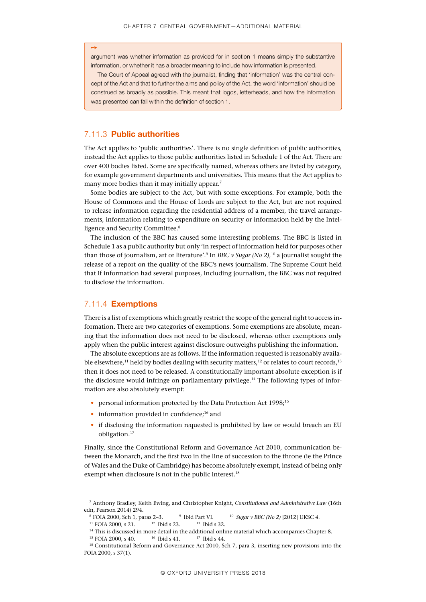argument was whether information as provided for in section 1 means simply the substantive information, or whether it has a broader meaning to include how information is presented.

The Court of Appeal agreed with the journalist, finding that 'information' was the central concept of the Act and that to further the aims and policy of the Act, the word 'information' should be construed as broadly as possible. This meant that logos, letterheads, and how the information was presented can fall within the definition of section 1.

# 7.11.3 Public authorities

➙

The Act applies to 'public authorities'. There is no single definition of public authorities, instead the Act applies to those public authorities listed in Schedule 1 of the Act. There are over 400 bodies listed. Some are specifically named, whereas others are listed by category, for example government departments and universities. This means that the Act applies to many more bodies than it may initially appear.<sup>7</sup>

Some bodies are subject to the Act, but with some exceptions. For example, both the House of Commons and the House of Lords are subject to the Act, but are not required to release information regarding the residential address of a member, the travel arrangements, information relating to expenditure on security or information held by the Intelligence and Security Committee.<sup>8</sup>

The inclusion of the BBC has caused some interesting problems. The BBC is listed in Schedule 1 as a public authority but only 'in respect of information held for purposes other than those of journalism, art or literature'.<sup>9</sup> In *BBC v Sugar (No 2)*,<sup>10</sup> a journalist sought the release of a report on the quality of the BBC's news journalism. The Supreme Court held that if information had several purposes, including journalism, the BBC was not required to disclose the information.

# 7.11.4 Exemptions

There is a list of exemptions which greatly restrict the scope of the general right to access information. There are two categories of exemptions. Some exemptions are absolute, meaning that the information does not need to be disclosed, whereas other exemptions only apply when the public interest against disclosure outweighs publishing the information.

The absolute exceptions are as follows. If the information requested is reasonably available elsewhere,<sup>11</sup> held by bodies dealing with security matters,<sup>12</sup> or relates to court records,<sup>13</sup> then it does not need to be released. A constitutionally important absolute exception is if the disclosure would infringe on parliamentary privilege.<sup>14</sup> The following types of information are also absolutely exempt:

- personal information protected by the Data Protection Act 1998;<sup>15</sup>
- $\bullet$  information provided in confidence:<sup>16</sup> and
- if disclosing the information requested is prohibited by law or would breach an EU obligation.17

Finally, since the Constitutional Reform and Governance Act 2010, communication between the Monarch, and the first two in the line of succession to the throne (ie the Prince of Wales and the Duke of Cambridge) has become absolutely exempt, instead of being only exempt when disclosure is not in the public interest.<sup>18</sup>

<sup>7</sup> Anthony Bradley, Keith Ewing, and Christopher Knight, *Constitutional and Administrative Law* (16th edn, Pearson 2014) 294.

<sup>&</sup>lt;sup>8</sup> FOIA 2000, Sch 1, paras 2–3. <sup>9</sup> Ibid Part VI. <sup>10</sup> *Sugar v BBC (No 2)* [2012] UKSC 4. <sup>11</sup> FOIA 2000. s 21. <sup>12</sup> Ibid s 23. <sup>13</sup> Ibid s 32.

<sup>&</sup>lt;sup>11</sup> FOIA 2000, s 21. <sup>12</sup> Ibid s 23. <sup>13</sup> Ibid s 32.

<sup>&</sup>lt;sup>14</sup> This is discussed in more detail in the additional online material which accompanies Chapter 8.

<sup>&</sup>lt;sup>15</sup> FOIA 2000, s 40. <sup>16</sup> Ibid s 41. <sup>17</sup> Ibid s 44.

<sup>&</sup>lt;sup>18</sup> Constitutional Reform and Governance Act 2010, Sch 7, para 3, inserting new provisions into the FOIA 2000, s 37(1).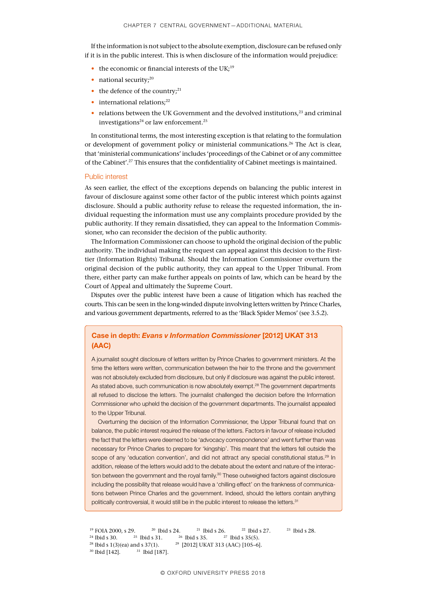If the information is not subject to the absolute exemption, disclosure can be refused only if it is in the public interest. This is when disclosure of the information would prejudice:

- the economic or financial interests of the UK:<sup>19</sup>
- national security; $20$
- $\bullet$  the defence of the country;<sup>21</sup>
- $\bullet$  international relations;<sup>22</sup>
- $\bullet$  relations between the UK Government and the devolved institutions,<sup>23</sup> and criminal investigations<sup>24</sup> or law enforcement.<sup>25</sup>

In constitutional terms, the most interesting exception is that relating to the formulation or development of government policy or ministerial communications.<sup>26</sup> The Act is clear, that 'ministerial communications' includes 'proceedings of the Cabinet or of any committee of the Cabinet'.27 This ensures that the confidentiality of Cabinet meetings is maintained.

### Public interest

As seen earlier, the effect of the exceptions depends on balancing the public interest in favour of disclosure against some other factor of the public interest which points against disclosure. Should a public authority refuse to release the requested information, the individual requesting the information must use any complaints procedure provided by the public authority. If they remain dissatisfied, they can appeal to the Information Commissioner, who can reconsider the decision of the public authority.

The Information Commissioner can choose to uphold the original decision of the public authority. The individual making the request can appeal against this decision to the Firsttier (Information Rights) Tribunal. Should the Information Commissioner overturn the original decision of the public authority, they can appeal to the Upper Tribunal. From there, either party can make further appeals on points of law, which can be heard by the Court of Appeal and ultimately the Supreme Court.

Disputes over the public interest have been a cause of litigation which has reached the courts. This can be seen in the long-winded dispute involving letters written by Prince Charles, and various government departments, referred to as the 'Black Spider Memos' (see 3.5.2).

# Case in depth: *Evans v Information Commissioner* [2012] UKAT 313 (AAC)

A journalist sought disclosure of letters written by Prince Charles to government ministers. At the time the letters were written, communication between the heir to the throne and the government was not absolutely excluded from disclosure, but only if disclosure was against the public interest. As stated above, such communication is now absolutely exempt.<sup>28</sup> The government departments all refused to disclose the letters. The journalist challenged the decision before the Information Commissioner who upheld the decision of the government departments. The journalist appealed to the Upper Tribunal.

Overturning the decision of the Information Commissioner, the Upper Tribunal found that on balance, the public interest required the release of the letters. Factors in favour of release included the fact that the letters were deemed to be 'advocacy correspondence' and went further than was necessary for Prince Charles to prepare for 'kingship'. This meant that the letters fell outside the scope of any 'education convention', and did not attract any special constitutional status.<sup>29</sup> In addition, release of the letters would add to the debate about the extent and nature of the interaction between the government and the royal family.<sup>30</sup> These outweighed factors against disclosure including the possibility that release would have a 'chilling effect' on the frankness of communications between Prince Charles and the government. Indeed, should the letters contain anything politically controversial, it would still be in the public interest to release the letters.<sup>31</sup>

```
<sup>19</sup> FOIA 2000, s 29. <sup>20</sup> Ibid s 24. <sup>21</sup> Ibid s 26. <sup>22</sup> Ibid s 27. <sup>23</sup> Ibid s 28.
<sup>24</sup> Ibid s 30. <sup>25</sup> Ibid s 31. <sup>26</sup> Ibid s 35. <sup>27</sup> Ibid s 35(5).
<sup>28</sup> Ibid s 1(3)(ea) and s 37(1). <sup>29</sup> [2012] UKAT 313 (AAC) [105–6].
30 Ibid [142]. 31 Ibid [187].
```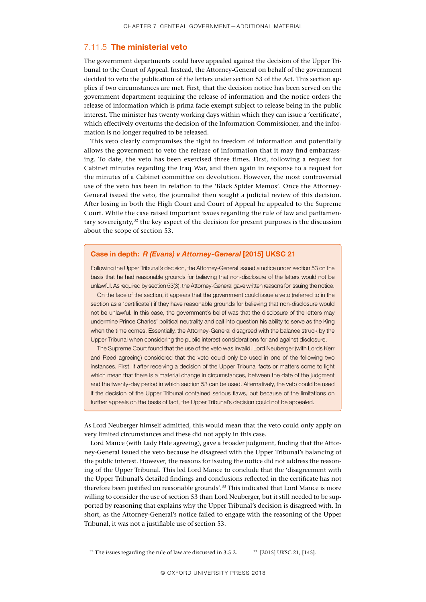## 7.11.5 The ministerial veto

The government departments could have appealed against the decision of the Upper Tribunal to the Court of Appeal. Instead, the Attorney-General on behalf of the government decided to veto the publication of the letters under section 53 of the Act. This section applies if two circumstances are met. First, that the decision notice has been served on the government department requiring the release of information and the notice orders the release of information which is prima facie exempt subject to release being in the public interest. The minister has twenty working days within which they can issue a 'certificate', which effectively overturns the decision of the Information Commissioner, and the information is no longer required to be released.

This veto clearly compromises the right to freedom of information and potentially allows the government to veto the release of information that it may find embarrassing. To date, the veto has been exercised three times. First, following a request for Cabinet minutes regarding the Iraq War, and then again in response to a request for the minutes of a Cabinet committee on devolution. However, the most controversial use of the veto has been in relation to the 'Black Spider Memos'. Once the Attorney-General issued the veto, the journalist then sought a judicial review of this decision. After losing in both the High Court and Court of Appeal he appealed to the Supreme Court. While the case raised important issues regarding the rule of law and parliamentary sovereignty, $32$  the key aspect of the decision for present purposes is the discussion about the scope of section 53.

### Case in depth: *R (Evans) v Attorney-General* [2015] UKSC 21

Following the Upper Tribunal's decision, the Attorney-General issued a notice under section 53 on the basis that he had reasonable grounds for believing that non-disclosure of the letters would not be unlawful. As required by section 53(3), the Attorney-General gave written reasons for issuing the notice.

On the face of the section, it appears that the government could issue a veto (referred to in the section as a 'certificate') if they have reasonable grounds for believing that non-disclosure would not be unlawful. In this case, the government's belief was that the disclosure of the letters may undermine Prince Charles' political neutrality and call into question his ability to serve as the King when the time comes. Essentially, the Attorney-General disagreed with the balance struck by the Upper Tribunal when considering the public interest considerations for and against disclosure.

The Supreme Court found that the use of the veto was invalid. Lord Neuberger (with Lords Kerr and Reed agreeing) considered that the veto could only be used in one of the following two instances. First, if after receiving a decision of the Upper Tribunal facts or matters come to light which mean that there is a material change in circumstances, between the date of the judgment and the twenty-day period in which section 53 can be used. Alternatively, the veto could be used if the decision of the Upper Tribunal contained serious flaws, but because of the limitations on further appeals on the basis of fact, the Upper Tribunal's decision could not be appealed.

As Lord Neuberger himself admitted, this would mean that the veto could only apply on very limited circumstances and these did not apply in this case.

Lord Mance (with Lady Hale agreeing), gave a broader judgment, finding that the Attorney-General issued the veto because he disagreed with the Upper Tribunal's balancing of the public interest. However, the reasons for issuing the notice did not address the reasoning of the Upper Tribunal. This led Lord Mance to conclude that the 'disagreement with the Upper Tribunal's detailed findings and conclusions reflected in the certificate has not therefore been justified on reasonable grounds'.33 This indicated that Lord Mance is more willing to consider the use of section 53 than Lord Neuberger, but it still needed to be supported by reasoning that explains why the Upper Tribunal's decision is disagreed with. In short, as the Attorney-General's notice failed to engage with the reasoning of the Upper Tribunal, it was not a justifiable use of section 53.

 $32$  The issues regarding the rule of law are discussed in 3.5.2.  $33$  [2015] UKSC 21, [145].